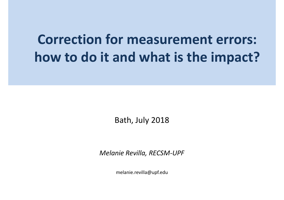# **Correction for measurement errors: how to do it and what is the impact?**

Bath, July 2018

*Melanie Revilla, RECSM-UPF*

melanie.revilla@upf.edu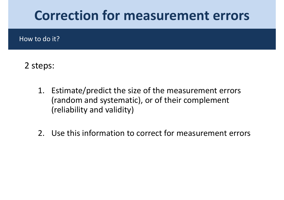## **Correction for measurement errors**

How to do it?

### 2 steps:

- 1. Estimate/predict the size of the measurement errors (random and systematic), or of their complement<br>(roliability and validity) (reliability and validity)
- 2. Use this information to correct for measurement errors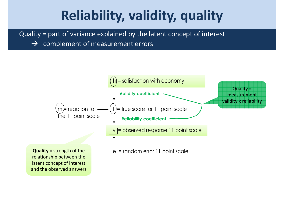# **Reliability, validity, quality**

Quality = part of variance explained by the latent concept of interest

 $\rightarrow$  complement of measurement errors

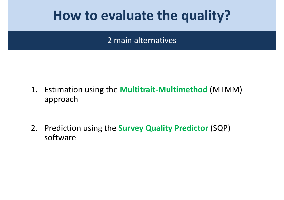## **How to evaluate the quality?**

### 2 main alternatives

- 1. Estimation using the **Multitrait-Multimethod** (MTMM) approach
- 2. Prediction using the **Survey Quality Predictor** (SQP) software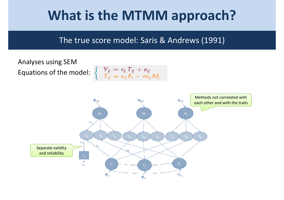# **What is the MTMM approach?**

### The true score model: Saris & Andrews (1991)

Analyses using SEMEquations of the model:

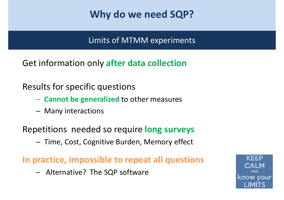## **Why do we need SQP?**

Limits of MTMM experiments

Get information only **after data collection**

Results for specific questions

- **Cannot be generalized** to other measures
- and the state of the Many interactions

Repetitions needed so require **long surveys**

**Links of the Company**  $-$  Time, Cost, Cognitive Burden, Memory effect

**In practice, impossible to repeat all questions**

–Alternative? The SQP software

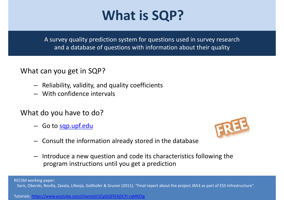# **What is SQP?**

A survey quality prediction system for questions used in survey research and a database of questions with information about their quality

#### What can you get in SQP?

- Reliability, validity, and quality coefficients
- With confidence intervals

#### What do you have to do?

– Go to <u>sqp.upf.edu</u>



- Consult the information already stored in the database
- Introduce a new question and code its characteristics following the program instructions until you get a prediction

RECSM working paper: Saris, Oberski, Revilla, Zavala, Lilleoja, Gallhofer & Gruner (2011). "Final report about the project JRA3 as part of ESS Infrastructure".

Tutorials: https://www.youtube.com/channel/UCpljiQFlE4j5CYI-rqMKDig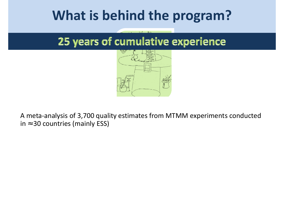# **What is behind the program?**

## 25 years of cumulative experience



A meta-analysis of 3,700 quality estimates from MTMM experiments conducted in  $\approx$  30 countries (mainly ESS)

These estimates are explained by up to 60 questions characteristics

Random Forest approach used

Good predictions obtained: explained variance ( $R^2$ ) for reliability of .65 and for validity of .84

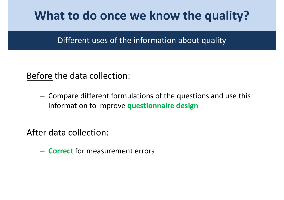## **What to do once we know the quality?**

### Different uses of the information about quality

Before the data collection:

**Links of the Company**  Compare different formulations of the questions and use this information to improve **questionnaire design**

<u>After</u> data collection:

**Hart Committee**  $-$  **Correct** for measurement errors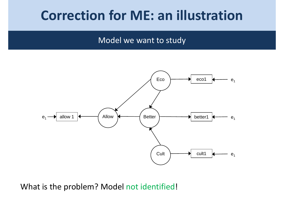## **Correction for ME: an illustration**

#### Model we want to study



What is the problem? Model not identified!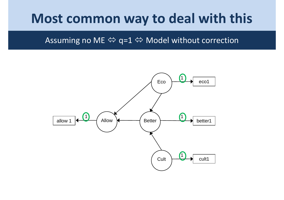## Most common way to deal with this

#### Assuming no ME  $\Leftrightarrow$  q=1  $\Leftrightarrow$  Model without correction

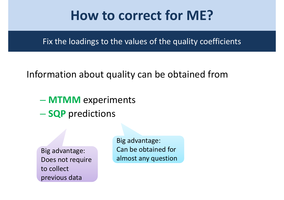## **How to correct for ME?**

Fix the loadings to the values of the quality coefficients

## Information about quality can be obtained from

- **MTMM** experiments
- **SQP** predictions

Big advantage: Does not require to collect previous data

Big advantage: Can be obtained for almost any question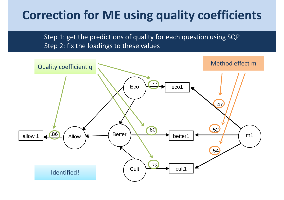## **Correction for ME using quality coefficients**

Step 1: get the predictions of quality for each question using SQPStep 2: fix the loadings to these values

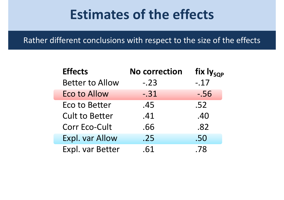## **Estimates of the effects**

Rather different conclusions with respect to the size of the effects

| <b>Effects</b>         | <b>No correction</b> | fix ly <sub>sop</sub> |
|------------------------|----------------------|-----------------------|
| <b>Better to Allow</b> | $-.23$               | $-.17$                |
| <b>Eco to Allow</b>    | $-.31$               | $-.56$                |
| <b>Eco to Better</b>   | .45                  | .52                   |
| <b>Cult to Better</b>  | .41                  | .40                   |
| <b>Corr Eco-Cult</b>   | .66                  | .82                   |
| Expl. var Allow        | .25                  | .50                   |
| Expl. var Better       | .61                  | .78                   |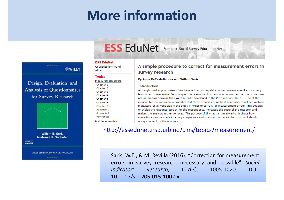# **More information**

#### **ESS EduNet**

**Countries by Round** About

**Measurement errors** 

#### **Topics**

Chapter 1

Chapter 2

Chapter 3

Chapter 4

Chapter 5

Chapter 6

Chapter 7 Appendix 1

Appendix 2

References

Multilevel models

Design, Evaluation, and **Analysis of Questionnaires** for Survey Research

**Euperetted Mater** 

**WILEY** 



**Willem E. Saris Irmtraud N. Gallhofer** 

www.

WILEY SERIES IN SURVEY METHODOLOGY

**Convenience Marxists** 

#### A simple procedure to correct for measurement errors in survey research

#### **By Anna DeCastellarnau and Willem Saris**

**ESS EduNet** European Social Survey Education Net

#### **Introduction**

Although most applied researchers believe that survey data contain measurement errors, very few correct these errors. In principle, the reason for this omission cannot be that the procedures are not known because they were already developed in the 20th century [Gol73]. One of the reasons for this omission is probably that these procedures make it necessary to collect multiple indicators for all variables in the study in order to correct for measurement errors. This doubles or triples the response burden for the respondents, increases the costs of the research and makes the analysis rather complex. The purpose of this text is therefore to illustrate how corrections can be made in a very simple way and to show that researchers can and should always correct for these errors.

#### http://essedunet.nsd.uib.no/cms/topics/measurement/

Saris, W.E., & M. Revilla (2016). "Correction for measurement errors in survey research: necessary and possible". Social **Indicators** Research,  $127(3)$ : 1005-1020. DOI: 10.1007/s11205-015-1002-x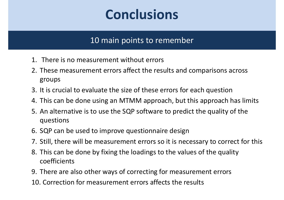# **Conclusions**

### 10 main points to remember

- 1. There is no measurement without errors
- 2. These measurement errors affect the results and comparisons across groups
- 3. It is crucial to evaluate the size of these errors for each question
- 4. This can be done using an MTMM approach, but this approach has limits
- 5. An alternative is to use the SQP software to predict the quality of the questions
- 6. SQP can be used to improve questionnaire design
- 7. Still, there will be measurement errors so it is necessary to correct for this
- 8. This can be done by fixing the loadings to the values of the quality coefficients
- 9. There are also other ways of correcting for measurement errors
- 10. Correction for measurement errors affects the results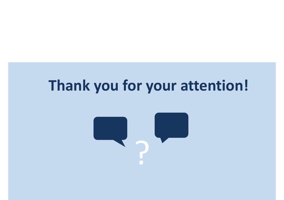# **Thank you for your attention!**

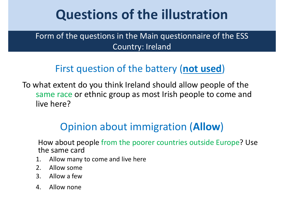# **Questions of the illustration**

Form of the questions in the Main questionnaire of the ESSCountry: Ireland

## First question of the battery (**not used**)

To what extent do you think Ireland should allow people of the same race or ethnic group as most Irish people to come and live here?

## Opinion about immigration (**Allow**)

How about people from the poorer countries outside Europe? Use the same card

- 1. Allow many to come and live here
- 2. Allow some<br>3 Allow a few
- 3. Allow a few
- 4. Allow none